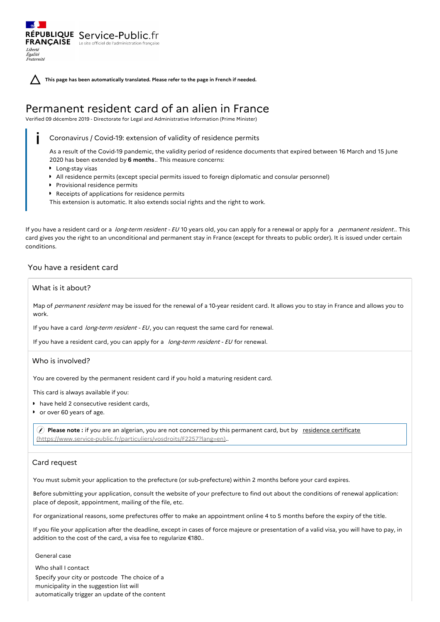**This page has been automatically translated. Please refer to the page in French if needed.**

# Permanent resident card of an alien in France

Verified 09 décembre 2019 - Directorate for Legal and Administrative Information (Prime Minister)

Coronavirus / Covid-19: extension of validity of residence permits

As a result of the Covid-19 pandemic, the validity period of residence documents that expired between 16 March and 15 June 2020 has been extended by **6 months**.. This measure concerns:

- **Long-stay visas**
- All residence permits (except special permits issued to foreign diplomatic and consular personnel)
- **Provisional residence permits**

RÉPUBLIQUE Service-Public.fr **FRANÇAISE** Le site officiel de l'administration fran

Liberté Égalité<br>Fraternité

Receipts of applications for residence permits

This extension is automatic. It also extends social rights and the right to work.

If you have a resident card or a long-term resident - EU 10 years old, you can apply for a renewal or apply for a permanent resident.. This card gives you the right to an unconditional and permanent stay in France (except for threats to public order). It is issued under certain conditions.

# You have a resident card

# What is it about?

Map of permanent resident may be issued for the renewal of a 10-year resident card. It allows you to stay in France and allows you to work.

If you have a card *long-term resident - EU*, you can request the same card for renewal.

If you have a resident card, you can apply for a long-term resident - EU for renewal.

# Who is involved?

You are covered by the permanent resident card if you hold a maturing resident card.

This card is always available if you:

- have held 2 consecutive resident cards,
- or over 60 years of age.

 **Please note :** if you are an algerian, you are not concerned by this permanent card, but by residence certificate [\(https://www.service-public.fr/particuliers/vosdroits/F2257?lang=en\)..](https://www.service-public.fr/particuliers/vosdroits/F2257?lang=en)

# Card request

You must submit your application to the prefecture (or sub-prefecture) within 2 months before your card expires.

Before submitting your application, consult the website of your prefecture to find out about the conditions of renewal application: place of deposit, appointment, mailing of the file, etc.

For organizational reasons, some prefectures offer to make an appointment online 4 to 5 months before the expiry of the title.

If you file your application after the deadline, except in cases of force majeure or presentation of a valid visa, you will have to pay, in addition to the cost of the card, a visa fee to regularize €180..

# General case

Who shall I contact Specify your city or postcode The choice of a municipality in the suggestion list will automatically trigger an update of the content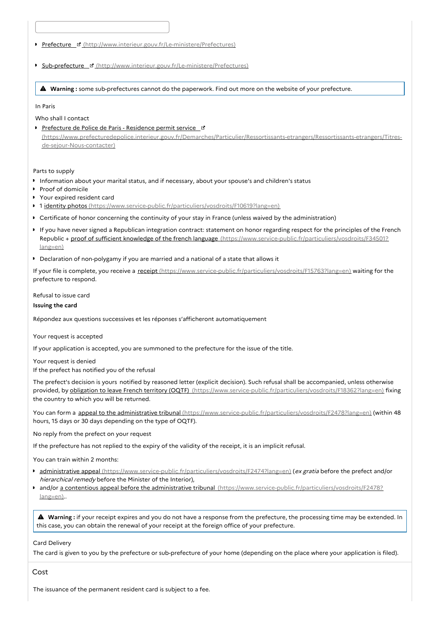Prefecture ¤ [\(http://www.interieur.gouv.fr/Le-ministere/Prefectures\)](http://www.interieur.gouv.fr/Le-ministere/Prefectures)

**Sub-prefecture F** [\(http://www.interieur.gouv.fr/Le-ministere/Prefectures\)](http://www.interieur.gouv.fr/Le-ministere/Prefectures)

**Warning :** some sub-prefectures cannot do the paperwork. Find out more on the website of your prefecture.

In Paris

Who shall I contact

Prefecture de Police de Paris - Residence permit service [\(https://www.prefecturedepolice.interieur.gouv.fr/Demarches/Particulier/Ressortissants-etrangers/Ressortissants-etrangers/Titres](https://www.prefecturedepolice.interieur.gouv.fr/Demarches/Particulier/Ressortissants-etrangers/Ressortissants-etrangers/Titres-de-sejour-Nous-contacter)de-sejour-Nous-contacter)

Parts to supply

- Information about your marital status, and if necessary, about your spouse's and children's status
- Proof of domicile
- Your expired resident card
- <sup>1</sup> 1 identity photos [\(https://www.service-public.fr/particuliers/vosdroits/F10619?lang=en\)](https://www.service-public.fr/particuliers/vosdroits/F10619?lang=en)
- Certificate of honor concerning the continuity of your stay in France (unless waived by the administration)
- If you have never signed a Republican integration contract: statement on honor regarding respect for the principles of the French Republic + proof of sufficient knowledge of the french language [\(https://www.service-public.fr/particuliers/vosdroits/F34501?](https://www.service-public.fr/particuliers/vosdroits/F34501?lang=en) lang=en)
- Declaration of non-polygamy if you are married and a national of a state that allows it

If your file is complete, you receive a receipt [\(https://www.service-public.fr/particuliers/vosdroits/F15763?lang=en\)](https://www.service-public.fr/particuliers/vosdroits/F15763?lang=en) waiting for the prefecture to respond.

Refusal to issue card

**Issuing the card**

Répondez aux questions successives et les réponses s'afficheront automatiquement

Your request is accepted

If your application is accepted, you are summoned to the prefecture for the issue of the title.

Your request is denied If the prefect has notified you of the refusal

The prefect's decision is yours notified by reasoned letter (explicit decision). Such refusal shall be accompanied, unless otherwise provided, by obligation to leave French territory (OQTF) [\(https://www.service-public.fr/particuliers/vosdroits/F18362?lang=en\)](https://www.service-public.fr/particuliers/vosdroits/F18362?lang=en) fixing the country to which you will be returned.

You can form a appeal to the administrative tribunal [\(https://www.service-public.fr/particuliers/vosdroits/F2478?lang=en\)](https://www.service-public.fr/particuliers/vosdroits/F2478?lang=en) (within 48 hours, 15 days or 30 days depending on the type of OQTF).

No reply from the prefect on your request

If the prefecture has not replied to the expiry of the validity of the receipt, it is an implicit refusal.

You can train within 2 months:

- **administrative appeal [\(https://www.service-public.fr/particuliers/vosdroits/F2474?lang=en\)](https://www.service-public.fr/particuliers/vosdroits/F2474?lang=en) (ex gratia before the prefect and/or** hierarchical remedy before the Minister of the Interior),
- and/or a contentious appeal before the administrative tribunal [\(https://www.service-public.fr/particuliers/vosdroits/F2478?](https://www.service-public.fr/particuliers/vosdroits/F2478?lang=en) lang=en)..

 **Warning :** if your receipt expires and you do not have <sup>a</sup> response from the prefecture, the processing time may be extended. In this case, you can obtain the renewal of your receipt at the foreign office of your prefecture.

Card Delivery

The card is given to you by the prefecture or sub-prefecture of your home (depending on the place where your application is filed).

Cost

The issuance of the permanent resident card is subject to a fee.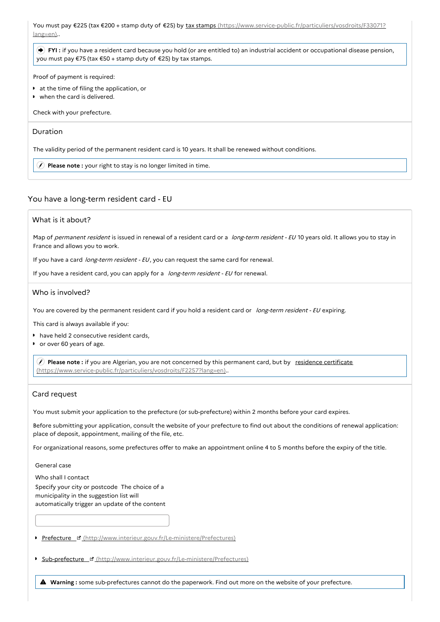You must pay €225 (tax €200 + stamp duty of €25) by tax stamps [\(https://www.service-public.fr/particuliers/vosdroits/F33071?](https://www.service-public.fr/particuliers/vosdroits/F33071?lang=en) lang=en)..

 **FYI :** if you have a resident card because you hold (or are entitled to) an industrial accident or occupational disease pension, you must pay €75 (tax €50 + stamp duty of €25) by tax stamps.

Proof of payment is required:

- at the time of filing the application, or
- when the card is delivered.

Check with your prefecture.

# Duration

The validity period of the permanent resident card is 10 years. It shall be renewed without conditions.

**Please note :** your right to stay is no longer limited in time.

# You have a long-term resident card - EU

# What is it about?

Map of permanent resident is issued in renewal of a resident card or a long-term resident - EU 10 years old. It allows you to stay in France and allows you to work.

If you have a card long-term resident - EU, you can request the same card for renewal.

If you have a resident card, you can apply for a long-term resident - EU for renewal.

#### Who is involved?

You are covered by the permanent resident card if you hold a resident card or long-term resident - EU expiring.

This card is always available if you:

- have held 2 consecutive resident cards,
- or over 60 years of age.  $\bullet$

 **Please note :** if you are Algerian, you are not concerned by this permanent card, but by residence certificate [\(https://www.service-public.fr/particuliers/vosdroits/F2257?lang=en\)..](https://www.service-public.fr/particuliers/vosdroits/F2257?lang=en)

#### Card request

You must submit your application to the prefecture (or sub-prefecture) within 2 months before your card expires.

Before submitting your application, consult the website of your prefecture to find out about the conditions of renewal application: place of deposit, appointment, mailing of the file, etc.

For organizational reasons, some prefectures offer to make an appointment online 4 to 5 months before the expiry of the title.

General case

Who shall I contact Specify your city or postcode The choice of a municipality in the suggestion list will automatically trigger an update of the content

Prefecture ¤ [\(http://www.interieur.gouv.fr/Le-ministere/Prefectures\)](http://www.interieur.gouv.fr/Le-ministere/Prefectures)

**Sub-prefecture & [\(http://www.interieur.gouv.fr/Le-ministere/Prefectures\)](http://www.interieur.gouv.fr/Le-ministere/Prefectures)** 

**Warning :** some sub-prefectures cannot do the paperwork. Find out more on the website of your prefecture.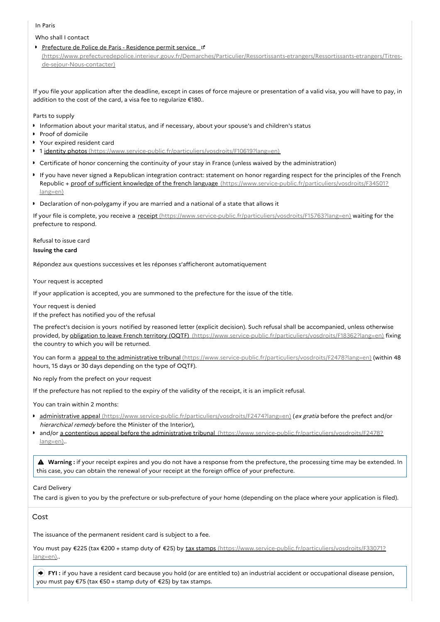## In Paris

Who shall I contact

Prefecture de Police de Paris - Residence permit service

[\(https://www.prefecturedepolice.interieur.gouv.fr/Demarches/Particulier/Ressortissants-etrangers/Ressortissants-etrangers/Titres](https://www.prefecturedepolice.interieur.gouv.fr/Demarches/Particulier/Ressortissants-etrangers/Ressortissants-etrangers/Titres-de-sejour-Nous-contacter)de-sejour-Nous-contacter)

If you file your application after the deadline, except in cases of force majeure or presentation of a valid visa, you will have to pay, in addition to the cost of the card, a visa fee to regularize €180..

Parts to supply

- Information about your marital status, and if necessary, about your spouse's and children's status
- Proof of domicile
- Your expired resident card
- 1 identity photos [\(https://www.service-public.fr/particuliers/vosdroits/F10619?lang=en\)](https://www.service-public.fr/particuliers/vosdroits/F10619?lang=en)
- Certificate of honor concerning the continuity of your stay in France (unless waived by the administration)
- If you have never signed a Republican integration contract: statement on honor regarding respect for the principles of the French Republic + proof of sufficient knowledge of the french language [\(https://www.service-public.fr/particuliers/vosdroits/F34501?](https://www.service-public.fr/particuliers/vosdroits/F34501?lang=en) lang=en)
- Declaration of non-polygamy if you are married and a national of a state that allows it

If your file is complete, you receive a receipt [\(https://www.service-public.fr/particuliers/vosdroits/F15763?lang=en\)](https://www.service-public.fr/particuliers/vosdroits/F15763?lang=en) waiting for the prefecture to respond.

Refusal to issue card

#### **Issuing the card**

Répondez aux questions successives et les réponses s'afficheront automatiquement

Your request is accepted

If your application is accepted, you are summoned to the prefecture for the issue of the title.

Your request is denied

If the prefect has notified you of the refusal

The prefect's decision is yours notified by reasoned letter (explicit decision). Such refusal shall be accompanied, unless otherwise provided, by obligation to leave French territory (OQTF) [\(https://www.service-public.fr/particuliers/vosdroits/F18362?lang=en\)](https://www.service-public.fr/particuliers/vosdroits/F18362?lang=en) fixing the country to which you will be returned.

You can form a appeal to the administrative tribunal [\(https://www.service-public.fr/particuliers/vosdroits/F2478?lang=en\)](https://www.service-public.fr/particuliers/vosdroits/F2478?lang=en) (within 48 hours, 15 days or 30 days depending on the type of OQTF).

No reply from the prefect on your request

If the prefecture has not replied to the expiry of the validity of the receipt, it is an implicit refusal.

You can train within 2 months:

- **administrative appeal** [\(https://www.service-public.fr/particuliers/vosdroits/F2474?lang=en\)](https://www.service-public.fr/particuliers/vosdroits/F2474?lang=en) (ex gratia before the prefect and/or hierarchical remedy before the Minister of the Interior),
- and/or a contentious appeal before the administrative tribunal [\(https://www.service-public.fr/particuliers/vosdroits/F2478?](https://www.service-public.fr/particuliers/vosdroits/F2478?lang=en) lang=en)..

 **Warning :** if your receipt expires and you do not have <sup>a</sup> response from the prefecture, the processing time may be extended. In this case, you can obtain the renewal of your receipt at the foreign office of your prefecture.

# Card Delivery

The card is given to you by the prefecture or sub-prefecture of your home (depending on the place where your application is filed).

Cost

The issuance of the permanent resident card is subject to a fee.

You must pay €225 (tax €200 + stamp duty of €25) by tax stamps [\(https://www.service-public.fr/particuliers/vosdroits/F33071?](https://www.service-public.fr/particuliers/vosdroits/F33071?lang=en) lang=en)..

 **FYI :** if you have a resident card because you hold (or are entitled to) an industrial accident or occupational disease pension, you must pay €75 (tax €50 + stamp duty of €25) by tax stamps.